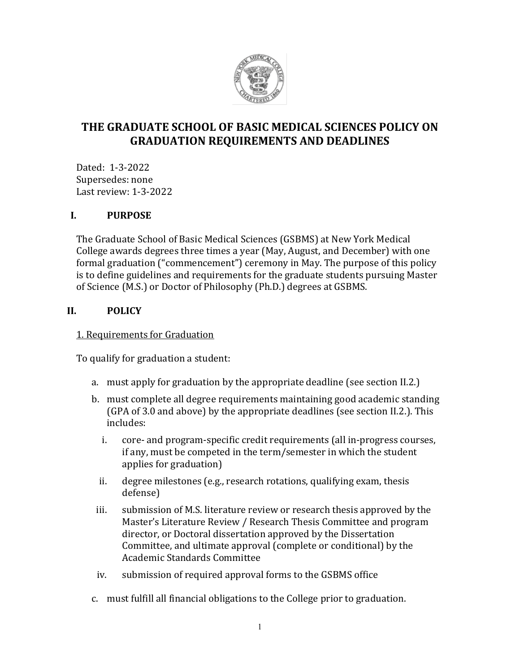

# **THE GRADUATE SCHOOL OF BASIC MEDICAL SCIENCES POLICY ON GRADUATION REQUIREMENTS AND DEADLINES**

Dated: 1-3-2022 Supersedes: none Last review: 1-3-2022

### **I. PURPOSE**

The Graduate School of Basic Medical Sciences (GSBMS) at New York Medical College awards degrees three times a year (May, August, and December) with one formal graduation ("commencement") ceremony in May. The purpose of this policy is to define guidelines and requirements for the graduate students pursuing Master of Science (M.S.) or Doctor of Philosophy (Ph.D.) degrees at GSBMS.

# **II. POLICY**

### 1. Requirements for Graduation

To qualify for graduation a student:

- a. must apply for graduation by the appropriate deadline (see section II.2.)
- b. must complete all degree requirements maintaining good academic standing (GPA of 3.0 and above) by the appropriate deadlines (see section II.2.). This includes:
	- i. core- and program-specific credit requirements (all in-progress courses, if any, must be competed in the term/semester in which the student applies for graduation)
	- ii. degree milestones (e.g., research rotations, qualifying exam, thesis defense)
- iii. submission of M.S. literature review or research thesis approved by the Master's Literature Review / Research Thesis Committee and program director, or Doctoral dissertation approved by the Dissertation Committee, and ultimate approval (complete or conditional) by the Academic Standards Committee
- iv. submission of required approval forms to the GSBMS office
- c. must fulfill all financial obligations to the College prior to graduation.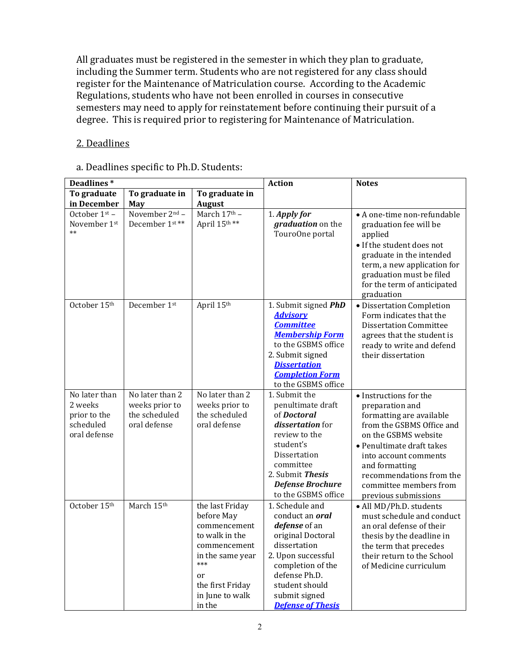All graduates must be registered in the semester in which they plan to graduate, including the Summer term. Students who are not registered for any class should register for the Maintenance of Matriculation course. According to the Academic Regulations, students who have not been enrolled in courses in consecutive semesters may need to apply for reinstatement before continuing their pursuit of a degree. This is required prior to registering for Maintenance of Matriculation.

### 2. Deadlines

#### a. Deadlines specific to Ph.D. Students:

| Deadlines*                                                            |                                                                    |                                                                                                                                                                   | <b>Action</b>                                                                                                                                                                                                              | <b>Notes</b>                                                                                                                                                                                                                                                                     |
|-----------------------------------------------------------------------|--------------------------------------------------------------------|-------------------------------------------------------------------------------------------------------------------------------------------------------------------|----------------------------------------------------------------------------------------------------------------------------------------------------------------------------------------------------------------------------|----------------------------------------------------------------------------------------------------------------------------------------------------------------------------------------------------------------------------------------------------------------------------------|
| To graduate<br>in December                                            | To graduate in<br>May                                              | To graduate in<br><b>August</b>                                                                                                                                   |                                                                                                                                                                                                                            |                                                                                                                                                                                                                                                                                  |
| October 1 <sup>st</sup> -<br>November 1st<br>$**$                     | November $2nd$ –<br>December 1st**                                 | March 17th -<br>April 15th**                                                                                                                                      | 1. Apply for<br>graduation on the<br>TouroOne portal                                                                                                                                                                       | • A one-time non-refundable<br>graduation fee will be<br>applied<br>• If the student does not<br>graduate in the intended<br>term, a new application for<br>graduation must be filed<br>for the term of anticipated<br>graduation                                                |
| October 15th                                                          | December 1st                                                       | April 15th                                                                                                                                                        | 1. Submit signed PhD<br><b>Advisory</b><br><b>Committee</b><br><b>Membership Form</b><br>to the GSBMS office<br>2. Submit signed<br><b>Dissertation</b><br><b>Completion Form</b><br>to the GSBMS office                   | · Dissertation Completion<br>Form indicates that the<br><b>Dissertation Committee</b><br>agrees that the student is<br>ready to write and defend<br>their dissertation                                                                                                           |
| No later than<br>2 weeks<br>prior to the<br>scheduled<br>oral defense | No later than 2<br>weeks prior to<br>the scheduled<br>oral defense | No later than 2<br>weeks prior to<br>the scheduled<br>oral defense                                                                                                | 1. Submit the<br>penultimate draft<br>of Doctoral<br><i>dissertation</i> for<br>review to the<br>student's<br>Dissertation<br>committee<br>2. Submit Thesis<br><b>Defense Brochure</b><br>to the GSBMS office              | • Instructions for the<br>preparation and<br>formatting are available<br>from the GSBMS Office and<br>on the GSBMS website<br>• Penultimate draft takes<br>into account comments<br>and formatting<br>recommendations from the<br>committee members from<br>previous submissions |
| October 15th                                                          | March 15th                                                         | the last Friday<br>before May<br>commencement<br>to walk in the<br>commencement<br>in the same year<br>***<br>or<br>the first Friday<br>in June to walk<br>in the | 1. Schedule and<br>conduct an <b>oral</b><br>defense of an<br>original Doctoral<br>dissertation<br>2. Upon successful<br>completion of the<br>defense Ph.D.<br>student should<br>submit signed<br><b>Defense of Thesis</b> | • All MD/Ph.D. students<br>must schedule and conduct<br>an oral defense of their<br>thesis by the deadline in<br>the term that precedes<br>their return to the School<br>of Medicine curriculum                                                                                  |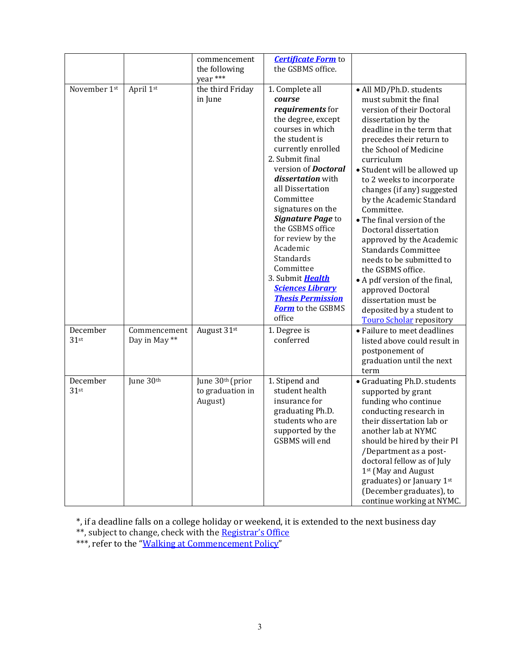|                     |                               | commencement<br>the following<br>year ***       | <b>Certificate Form</b> to<br>the GSBMS office.                                                                                                                                                                                                                                                                                                                                                                                                                                  |                                                                                                                                                                                                                                                                                                                                                                                                                                                                                                                                                                                                                                                            |
|---------------------|-------------------------------|-------------------------------------------------|----------------------------------------------------------------------------------------------------------------------------------------------------------------------------------------------------------------------------------------------------------------------------------------------------------------------------------------------------------------------------------------------------------------------------------------------------------------------------------|------------------------------------------------------------------------------------------------------------------------------------------------------------------------------------------------------------------------------------------------------------------------------------------------------------------------------------------------------------------------------------------------------------------------------------------------------------------------------------------------------------------------------------------------------------------------------------------------------------------------------------------------------------|
| November 1st        | April 1st                     | the third Friday<br>in June                     | 1. Complete all<br>course<br>requirements for<br>the degree, except<br>courses in which<br>the student is<br>currently enrolled<br>2. Submit final<br>version of <b>Doctoral</b><br>dissertation with<br>all Dissertation<br>Committee<br>signatures on the<br>Signature Page to<br>the GSBMS office<br>for review by the<br>Academic<br>Standards<br>Committee<br>3. Submit Health<br><b>Sciences Library</b><br><b>Thesis Permission</b><br><b>Form</b> to the GSBMS<br>office | · All MD/Ph.D. students<br>must submit the final<br>version of their Doctoral<br>dissertation by the<br>deadline in the term that<br>precedes their return to<br>the School of Medicine<br>curriculum<br>• Student will be allowed up<br>to 2 weeks to incorporate<br>changes (if any) suggested<br>by the Academic Standard<br>Committee.<br>• The final version of the<br>Doctoral dissertation<br>approved by the Academic<br><b>Standards Committee</b><br>needs to be submitted to<br>the GSBMS office.<br>• A pdf version of the final,<br>approved Doctoral<br>dissertation must be<br>deposited by a student to<br><b>Touro Scholar repository</b> |
| December<br>$31$ st | Commencement<br>Day in May ** | August 31st                                     | 1. Degree is<br>conferred                                                                                                                                                                                                                                                                                                                                                                                                                                                        | • Failure to meet deadlines<br>listed above could result in<br>postponement of<br>graduation until the next<br>term                                                                                                                                                                                                                                                                                                                                                                                                                                                                                                                                        |
| December<br>$31$ st | June 30th                     | June 30th (prior<br>to graduation in<br>August) | 1. Stipend and<br>student health<br>insurance for<br>graduating Ph.D.<br>students who are<br>supported by the<br>GSBMS will end                                                                                                                                                                                                                                                                                                                                                  | • Graduating Ph.D. students<br>supported by grant<br>funding who continue<br>conducting research in<br>their dissertation lab or<br>another lab at NYMC<br>should be hired by their PI<br>/Department as a post-<br>doctoral fellow as of July<br>1st (May and August<br>graduates) or January 1st<br>(December graduates), to<br>continue working at NYMC.                                                                                                                                                                                                                                                                                                |

\*, if a deadline falls on a college holiday or weekend, it is extended to the next business day \*\*, subject to change, check with the <u>Registrar's Office</u> \*\*\*, refer to the ["Walking at Commencement Policy"](https://www.nymc.edu/media/schools-and-colleges/nymc/pdf/gsbms/WalkingatCommencementPolicy.pdf)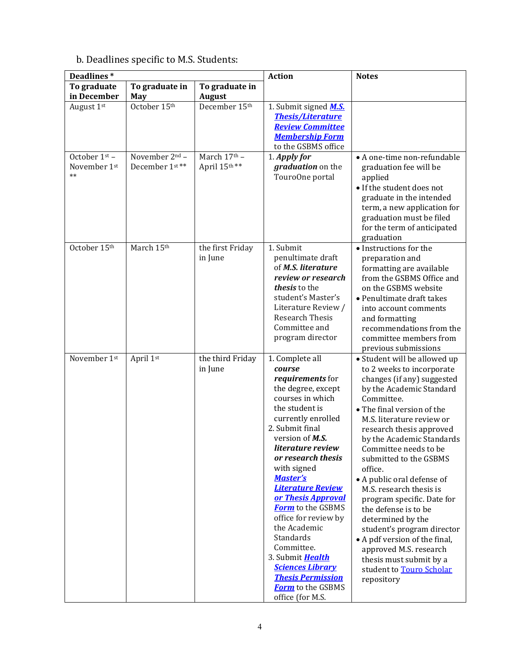# b. Deadlines specific to M.S. Students:

| Deadlines*                            |                                  |                              | <b>Action</b>                                                                                                                                                                                                                                                                                                                                                                                                                                                                                                                  | <b>Notes</b>                                                                                                                                                                                                                                                                                                                                                                                                                                                                                                                                                                                                          |
|---------------------------------------|----------------------------------|------------------------------|--------------------------------------------------------------------------------------------------------------------------------------------------------------------------------------------------------------------------------------------------------------------------------------------------------------------------------------------------------------------------------------------------------------------------------------------------------------------------------------------------------------------------------|-----------------------------------------------------------------------------------------------------------------------------------------------------------------------------------------------------------------------------------------------------------------------------------------------------------------------------------------------------------------------------------------------------------------------------------------------------------------------------------------------------------------------------------------------------------------------------------------------------------------------|
| To graduate                           | To graduate in                   | To graduate in               |                                                                                                                                                                                                                                                                                                                                                                                                                                                                                                                                |                                                                                                                                                                                                                                                                                                                                                                                                                                                                                                                                                                                                                       |
| in December                           | May                              | <b>August</b>                |                                                                                                                                                                                                                                                                                                                                                                                                                                                                                                                                |                                                                                                                                                                                                                                                                                                                                                                                                                                                                                                                                                                                                                       |
| August 1st                            | October 15th                     | December 15th                | 1. Submit signed M.S.<br><b>Thesis/Literature</b><br><b>Review Committee</b><br><b>Membership Form</b><br>to the GSBMS office                                                                                                                                                                                                                                                                                                                                                                                                  |                                                                                                                                                                                                                                                                                                                                                                                                                                                                                                                                                                                                                       |
| October 1st -<br>November 1st<br>$**$ | November 2nd -<br>December 1st** | March 17th -<br>April 15th** | 1. Apply for<br>graduation on the<br>TouroOne portal                                                                                                                                                                                                                                                                                                                                                                                                                                                                           | • A one-time non-refundable<br>graduation fee will be<br>applied<br>• If the student does not<br>graduate in the intended<br>term, a new application for<br>graduation must be filed<br>for the term of anticipated<br>graduation                                                                                                                                                                                                                                                                                                                                                                                     |
| October 15th                          | March 15th                       | the first Friday<br>in June  | 1. Submit<br>penultimate draft<br>of M.S. literature<br>review or research<br>thesis to the<br>student's Master's<br>Literature Review /<br>Research Thesis<br>Committee and<br>program director                                                                                                                                                                                                                                                                                                                               | • Instructions for the<br>preparation and<br>formatting are available<br>from the GSBMS Office and<br>on the GSBMS website<br>• Penultimate draft takes<br>into account comments<br>and formatting<br>recommendations from the<br>committee members from<br>previous submissions                                                                                                                                                                                                                                                                                                                                      |
| November 1st                          | April 1st                        | the third Friday<br>in June  | 1. Complete all<br>course<br>requirements for<br>the degree, except<br>courses in which<br>the student is<br>currently enrolled<br>2. Submit final<br>version of M.S.<br>literature review<br>or research thesis<br>with signed<br><b>Master's</b><br><b>Literature Review</b><br>or Thesis Approval<br><b>Form</b> to the GSBMS<br>office for review by<br>the Academic<br>Standards<br>Committee.<br>3. Submit Health<br><b>Sciences Library</b><br><b>Thesis Permission</b><br><b>Form</b> to the GSBMS<br>office (for M.S. | • Student will be allowed up<br>to 2 weeks to incorporate<br>changes (if any) suggested<br>by the Academic Standard<br>Committee.<br>• The final version of the<br>M.S. literature review or<br>research thesis approved<br>by the Academic Standards<br>Committee needs to be<br>submitted to the GSBMS<br>office.<br>• A public oral defense of<br>M.S. research thesis is<br>program specific. Date for<br>the defense is to be<br>determined by the<br>student's program director<br>• A pdf version of the final,<br>approved M.S. research<br>thesis must submit by a<br>student to Touro Scholar<br>repository |